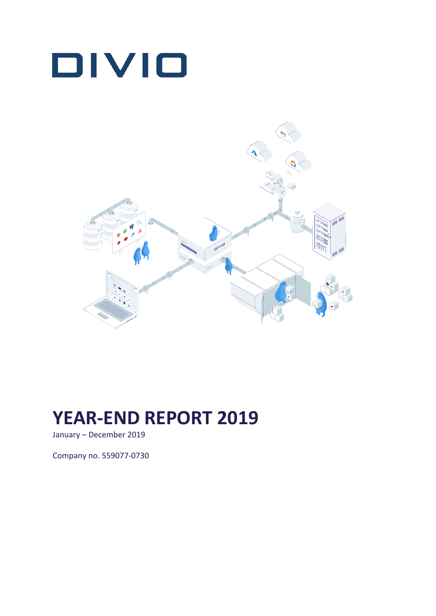



# **YEAR-END REPORT 2019**

January – December 2019

Company no. 559077-0730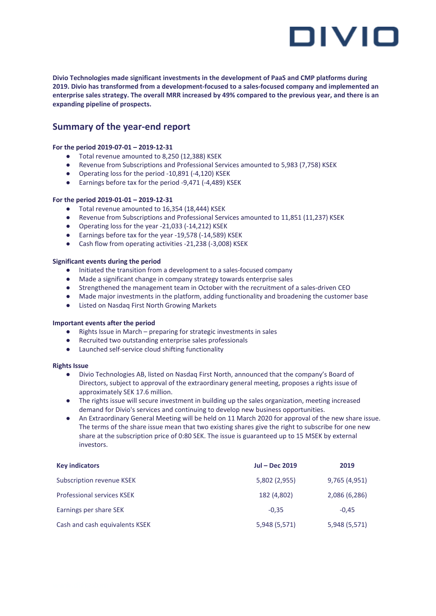

**Divio Technologies made significant investments in the development of PaaS and CMP platforms during 2019. Divio has transformed from a development-focused to a sales-focused company and implemented an** enterprise sales strategy. The overall MRR increased by 49% compared to the previous year, and there is an **expanding pipeline of prospects.**

### **Summary of the year-end report**

#### **For the period 2019-07-01 – 2019-12-31**

- Total revenue amounted to 8,250 (12,388) KSEK
- Revenue from Subscriptions and Professional Services amounted to 5,983 (7,758) KSEK
- Operating loss for the period -10,891 (-4,120) KSEK
- Earnings before tax for the period -9,471 (-4,489) KSEK

#### **For the period 2019-01-01 – 2019-12-31**

- Total revenue amounted to 16,354 (18,444) KSEK
- Revenue from Subscriptions and Professional Services amounted to 11,851 (11,237) KSEK
- Operating loss for the year -21,033 (-14,212) KSEK
- Earnings before tax for the year -19,578 (-14,589) KSEK
- Cash flow from operating activities -21,238 (-3,008) KSEK

#### **Significant events during the period**

- Initiated the transition from a development to a sales-focused company
- Made a significant change in company strategy towards enterprise sales
- Strengthened the management team in October with the recruitment of a sales-driven CEO
- Made major investments in the platform, adding functionality and broadening the customer base
- Listed on Nasdaq First North Growing Markets

#### **Important events after the period**

- Rights Issue in March preparing for strategic investments in sales
- Recruited two outstanding enterprise sales professionals
- Launched self-service cloud shifting functionality

#### **Rights Issue**

- Divio Technologies AB, listed on Nasdaq First North, announced that the company's Board of Directors, subject to approval of the extraordinary general meeting, proposes a rights issue of approximately SEK 17.6 million.
- The rights issue will secure investment in building up the sales organization, meeting increased demand for Divio's services and continuing to develop new business opportunities.
- An Extraordinary General Meeting will be held on 11 March 2020 for approval of the new share issue. The terms of the share issue mean that two existing shares give the right to subscribe for one new share at the subscription price of 0:80 SEK. The issue is guaranteed up to 15 MSEK by external investors.

| <b>Key indicators</b>             | <b>Jul - Dec 2019</b> | 2019          |
|-----------------------------------|-----------------------|---------------|
| Subscription revenue KSEK         | 5,802 (2,955)         | 9,765 (4,951) |
| <b>Professional services KSEK</b> | 182 (4,802)           | 2,086 (6,286) |
| Earnings per share SEK            | $-0.35$               | $-0.45$       |
| Cash and cash equivalents KSEK    | 5,948 (5,571)         | 5,948 (5,571) |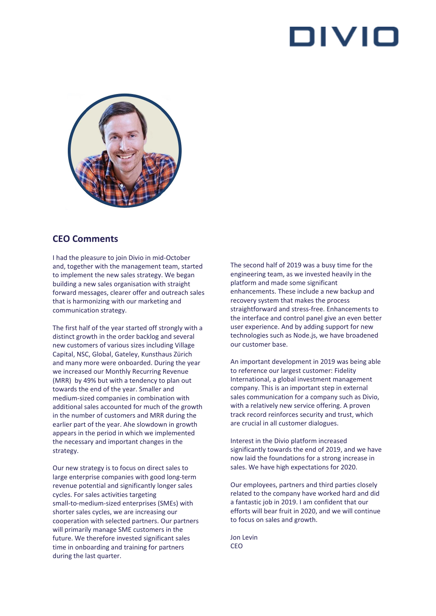

### **CEO Comments**

I had the pleasure to join Divio in mid-October and, together with the management team, started to implement the new sales strategy. We began building a new sales organisation with straight forward messages, clearer offer and outreach sales that is harmonizing with our marketing and communication strategy.

The first half of the year started off strongly with a distinct growth in the order backlog and several new customers of various sizes including Village Capital, NSC, Global, Gateley, Kunsthaus Zürich and many more were onboarded. During the year we increased our Monthly Recurring Revenue (MRR) by 49% but with a tendency to plan out towards the end of the year. Smaller and medium-sized companies in combination with additional sales accounted for much of the growth in the number of customers and MRR during the earlier part of the year. Ahe slowdown in growth appears in the period in which we implemented the necessary and important changes in the strategy.

Our new strategy is to focus on direct sales to large enterprise companies with good long-term revenue potential and significantly longer sales cycles. For sales activities targeting small-to-medium-sized enterprises (SMEs) with shorter sales cycles, we are increasing our cooperation with selected partners. Our partners will primarily manage SME customers in the future. We therefore invested significant sales time in onboarding and training for partners during the last quarter.

The second half of 2019 was a busy time for the engineering team, as we invested heavily in the platform and made some significant enhancements. These include a new backup and recovery system that makes the process straightforward and stress-free. Enhancements to the interface and control panel give an even better user experience. And by adding support for new technologies such as Node.js, we have broadened our customer base.

An important development in 2019 was being able to reference our largest customer: Fidelity International, a global investment management company. This is an important step in external sales communication for a company such as Divio, with a relatively new service offering. A proven track record reinforces security and trust, which are crucial in all customer dialogues.

Interest in the Divio platform increased significantly towards the end of 2019, and we have now laid the foundations for a strong increase in sales. We have high expectations for 2020.

Our employees, partners and third parties closely related to the company have worked hard and did a fantastic job in 2019. I am confident that our efforts will bear fruit in 2020, and we will continue to focus on sales and growth.

Jon Levin CEO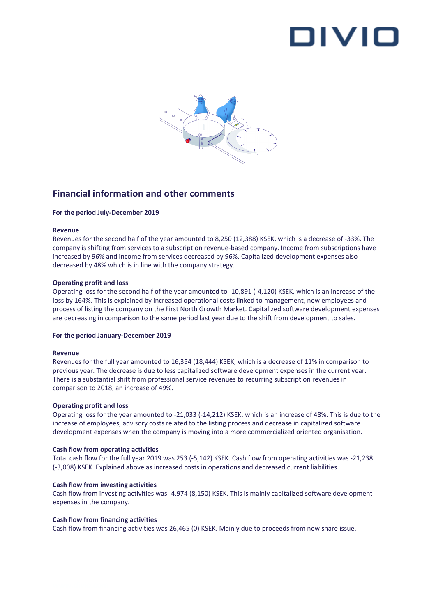

### **Financial information and other comments**

#### **For the period July-December 2019**

#### **Revenue**

Revenues for the second half of the year amounted to 8,250 (12,388) KSEK, which is a decrease of -33%. The company is shifting from services to a subscription revenue-based company. Income from subscriptions have increased by 96% and income from services decreased by 96%. Capitalized development expenses also decreased by 48% which is in line with the company strategy.

#### **Operating profit and loss**

Operating loss for the second half of the year amounted to -10,891 (-4,120) KSEK, which is an increase of the loss by 164%. This is explained by increased operational costs linked to management, new employees and process of listing the company on the First North Growth Market. Capitalized software development expenses are decreasing in comparison to the same period last year due to the shift from development to sales.

#### **For the period January-December 2019**

#### **Revenue**

Revenues for the full year amounted to 16,354 (18,444) KSEK, which is a decrease of 11% in comparison to previous year. The decrease is due to less capitalized software development expenses in the current year. There is a substantial shift from professional service revenues to recurring subscription revenues in comparison to 2018, an increase of 49%.

#### **Operating profit and loss**

Operating loss for the year amounted to -21,033 (-14,212) KSEK, which is an increase of 48%. This is due to the increase of employees, advisory costs related to the listing process and decrease in capitalized software development expenses when the company is moving into a more commercialized oriented organisation.

#### **Cash flow from operating activities**

Total cash flow for the full year 2019 was 253 (-5,142) KSEK. Cash flow from operating activities was -21,238 (-3,008) KSEK. Explained above as increased costs in operations and decreased current liabilities.

#### **Cash flow from investing activities**

Cash flow from investing activities was -4,974 (8,150) KSEK. This is mainly capitalized software development expenses in the company.

#### **Cash flow from financing activities**

Cash flow from financing activities was 26,465 (0) KSEK. Mainly due to proceeds from new share issue.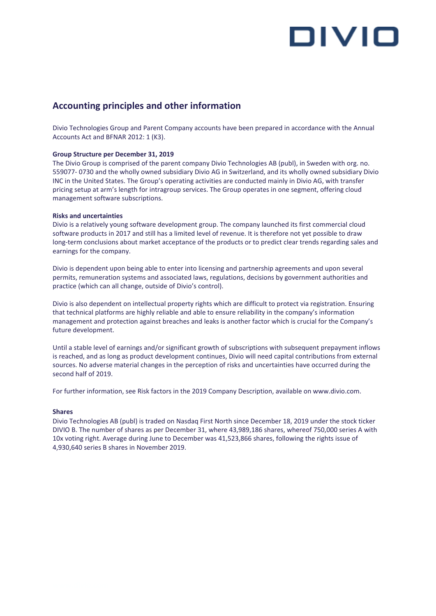# OIVIO

### **Accounting principles and other information**

Divio Technologies Group and Parent Company accounts have been prepared in accordance with the Annual Accounts Act and BFNAR 2012: 1 (K3).

#### **Group Structure per December 31, 2019**

The Divio Group is comprised of the parent company Divio Technologies AB (publ), in Sweden with org. no. 559077- 0730 and the wholly owned subsidiary Divio AG in Switzerland, and its wholly owned subsidiary Divio INC in the United States. The Group's operating activities are conducted mainly in Divio AG, with transfer pricing setup at arm's length for intragroup services. The Group operates in one segment, offering cloud management software subscriptions.

#### **Risks and uncertainties**

Divio is a relatively young software development group. The company launched its first commercial cloud software products in 2017 and still has a limited level of revenue. It is therefore not yet possible to draw long-term conclusions about market acceptance of the products or to predict clear trends regarding sales and earnings for the company.

Divio is dependent upon being able to enter into licensing and partnership agreements and upon several permits, remuneration systems and associated laws, regulations, decisions by government authorities and practice (which can all change, outside of Divio's control).

Divio is also dependent on intellectual property rights which are difficult to protect via registration. Ensuring that technical platforms are highly reliable and able to ensure reliability in the company's information management and protection against breaches and leaks is another factor which is crucial for the Company's future development.

Until a stable level of earnings and/or significant growth of subscriptions with subsequent prepayment inflows is reached, and as long as product development continues, Divio will need capital contributions from external sources. No adverse material changes in the perception of risks and uncertainties have occurred during the second half of 2019.

For further information, see Risk factors in the 2019 Company Description, available on www.divio.com.

#### **Shares**

Divio Technologies AB (publ) is traded on Nasdaq First North since December 18, 2019 under the stock ticker DIVIO B. The number of shares as per December 31, where 43,989,186 shares, whereof 750,000 series A with 10x voting right. Average during June to December was 41,523,866 shares, following the rights issue of 4,930,640 series B shares in November 2019.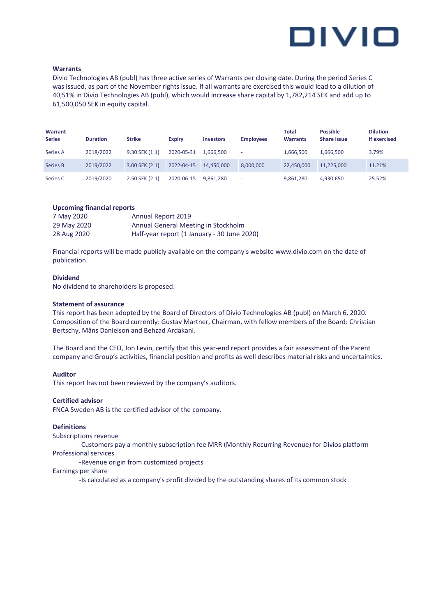

#### **Warrants**

Divio Technologies AB (publ) has three active series of Warrants per closing date. During the period Series C was issued, as part of the November rights issue. If all warrants are exercised this would lead to a dilution of 40,51% in Divio Technologies AB (publ), which would increase share capital by 1,782,214 SEK and add up to 61,500,050 SEK in equity capital.

| Warrant<br><b>Series</b> | <b>Duration</b> | <b>Strike</b>      | <b>Expiry</b> | <b>Investors</b> | <b>Employees</b>         | <b>Total</b><br><b>Warrants</b> | <b>Possible</b><br>Share issue | <b>Dilution</b><br>if exercised |
|--------------------------|-----------------|--------------------|---------------|------------------|--------------------------|---------------------------------|--------------------------------|---------------------------------|
| Series A                 | 2018/2022       | $9.30$ SEK $(1:1)$ | 2020-05-31    | 1.666.500        | $\overline{\phantom{a}}$ | 1,666,500                       | 1,666,500                      | 3.79%                           |
| Series B                 | 2019/2022       | $3.00$ SEK $(2:1)$ | 2022-04-15    | 14.450.000       | 8.000.000                | 22,450,000                      | 11.225.000                     | 11.21%                          |
| Series C                 | 2019/2020       | 2.50 SEK (2:1)     | 2020-06-15    | 9.861.280        | $\overline{\phantom{a}}$ | 9,861,280                       | 4,930,650                      | 25.52%                          |

#### **Upcoming financial reports**

| 7 May 2020  | Annual Report 2019                          |
|-------------|---------------------------------------------|
| 29 May 2020 | Annual General Meeting in Stockholm         |
| 28 Aug 2020 | Half-year report (1 January - 30 June 2020) |

Financial reports will be made publicly available on the company's website www.divio.com on the date of publication.

#### **Dividend**

No dividend to shareholders is proposed.

#### **Statement of assurance**

This report has been adopted by the Board of Directors of Divio Technologies AB (publ) on March 6, 2020. Composition of the Board currently: Gustav Martner, Chairman, with fellow members of the Board: Christian Bertschy, Måns Danielson and Behzad Ardakani.

The Board and the CEO, Jon Levin, certify that this year-end report provides a fair assessment of the Parent company and Group's activities, financial position and profits as well describes material risks and uncertainties.

#### **Auditor**

This report has not been reviewed by the company's auditors.

#### **Certified advisor**

FNCA Sweden AB is the certified advisor of the company.

#### **Definitions**

Subscriptions revenue

-Customers pay a monthly subscription fee MRR (Monthly Recurring Revenue) for Divios platform Professional services

-Revenue origin from customized projects

#### Earnings per share

-Is calculated as a company's profit divided by the outstanding shares of its common stock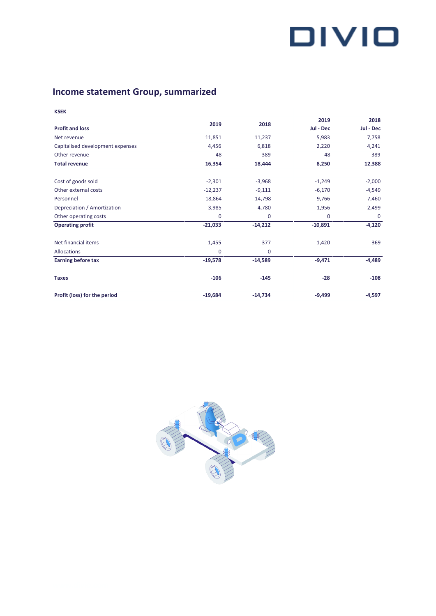# **Income statement Group, summarized**

**KSEK**

|                                  | 2019        | 2018      | 2019      | 2018     |
|----------------------------------|-------------|-----------|-----------|----------|
| <b>Profit and loss</b>           |             |           | Jul - Dec |          |
| Net revenue                      | 11,851      | 11,237    | 5,983     | 7,758    |
| Capitalised development expenses | 4,456       | 6,818     | 2,220     | 4,241    |
| Other revenue                    | 48          | 389       | 48        | 389      |
| <b>Total revenue</b>             | 16,354      | 18,444    | 8,250     | 12,388   |
| Cost of goods sold               | $-2,301$    | $-3,968$  | $-1,249$  | $-2,000$ |
| Other external costs             | $-12,237$   | $-9,111$  | $-6,170$  | $-4,549$ |
| Personnel                        | $-18,864$   | $-14,798$ | $-9,766$  | $-7,460$ |
| Depreciation / Amortization      | $-3,985$    | $-4,780$  | $-1,956$  | $-2,499$ |
| Other operating costs            | $\mathbf 0$ | 0         | 0         | $\Omega$ |
| <b>Operating profit</b>          | $-21,033$   | $-14,212$ | $-10,891$ | $-4,120$ |
| Net financial items              | 1,455       | $-377$    | 1,420     | $-369$   |
| <b>Allocations</b>               | $\mathbf 0$ | 0         |           |          |
| <b>Earning before tax</b>        | $-19,578$   | $-14,589$ | $-9,471$  | $-4,489$ |
| <b>Taxes</b>                     | $-106$      | $-145$    | $-28$     | $-108$   |
| Profit (loss) for the period     | $-19,684$   | $-14,734$ | $-9,499$  | $-4,597$ |

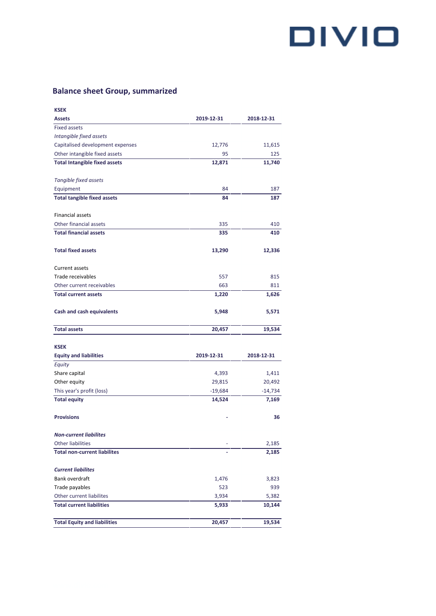## **Balance sheet Group, summarized**

| <b>KSEK</b>                          |            |            |
|--------------------------------------|------------|------------|
| <b>Assets</b>                        | 2019-12-31 | 2018-12-31 |
| <b>Fixed assets</b>                  |            |            |
| Intangible fixed assets              |            |            |
| Capitalised development expenses     | 12,776     | 11,615     |
| Other intangible fixed assets        | 95         | 125        |
| <b>Total Intangible fixed assets</b> | 12,871     | 11,740     |
|                                      |            |            |
| Tangible fixed assets                |            |            |
| Equipment                            | 84         | 187        |
| <b>Total tangible fixed assets</b>   | 84         | 187        |
|                                      |            |            |
| <b>Financial assets</b>              |            |            |
| Other financial assets               | 335        | 410        |
| <b>Total financial assets</b>        | 335        | 410        |
|                                      |            |            |
| <b>Total fixed assets</b>            | 13,290     | 12,336     |
|                                      |            |            |
| Current assets                       |            |            |
| Trade receivables                    | 557        | 815        |
| Other current receivables            | 663        | 811        |
| <b>Total current assets</b>          | 1,220      | 1,626      |
|                                      |            |            |
| <b>Cash and cash equivalents</b>     | 5,948      | 5,571      |
|                                      |            |            |
| <b>Total assets</b>                  | 20,457     | 19,534     |
|                                      |            |            |
| <b>KSEK</b>                          |            |            |
| <b>Equity and liabilities</b>        | 2019-12-31 | 2018-12-31 |
| Equity                               |            |            |
| Share capital                        | 4,393      | 1,411      |
| Other equity                         | 29,815     | 20,492     |
| This year's profit (loss)            | $-19,684$  | $-14,734$  |
| <b>Total equity</b>                  | 14,524     | 7,169      |
|                                      |            |            |
| <b>Provisions</b>                    |            | 36         |
|                                      |            |            |
| <b>Non-current liabilites</b>        |            |            |
| <b>Other liabilities</b>             |            | 2,185      |
| <b>Total non-current liabilites</b>  |            | 2,185      |
|                                      |            |            |
| <b>Current liabilites</b>            |            |            |
| Bank overdraft                       | 1,476      | 3,823      |
| Trade payables                       | 523        | 939        |
| Other current liabilites             | 3,934      | 5,382      |
| <b>Total current liabilities</b>     | 5,933      | 10,144     |
|                                      |            |            |
| <b>Total Equity and liabilities</b>  | 20,457     | 19,534     |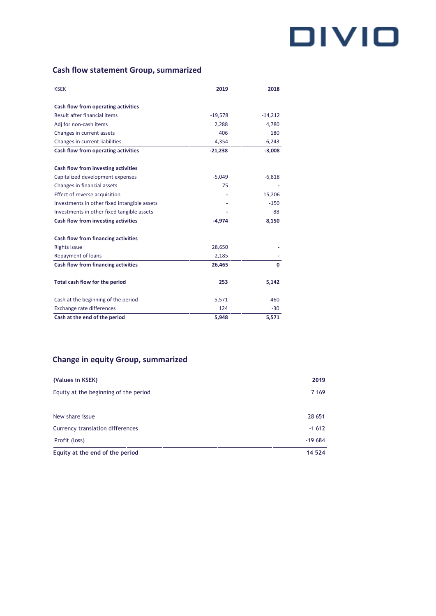### **Cash flow statement Group, summarized**

| <b>KSEK</b>                                  | 2019      | 2018      |
|----------------------------------------------|-----------|-----------|
| Cash flow from operating activities          |           |           |
| Result after financial items                 | $-19,578$ | $-14,212$ |
| Adj for non-cash items                       | 2,288     | 4,780     |
| Changes in current assets                    | 406       | 180       |
| Changes in current liabilities               | $-4,354$  | 6,243     |
| Cash flow from operating activities          | $-21,238$ | $-3,008$  |
|                                              |           |           |
| Cash flow from investing activities          |           |           |
| Capitalized development expenses             | $-5,049$  | $-6,818$  |
| Changes in financial assets                  | 75        |           |
| Effect of reverse acquisition                |           | 15,206    |
| Investments in other fixed intangible assets |           | $-150$    |
| Investments in other fixed tangible assets   |           | $-88$     |
| Cash flow from investing activities          | $-4,974$  | 8,150     |
| Cash flow from financing activities          |           |           |
| <b>Rights issue</b>                          | 28,650    |           |
| Repayment of loans                           | $-2,185$  |           |
| Cash flow from financing activities          | 26,465    | 0         |
| Total cash flow for the period               | 253       | 5,142     |
| Cash at the beginning of the period          | 5,571     | 460       |
| Exchange rate differences                    | 124       | $-30$     |
| Cash at the end of the period                | 5,948     | 5,571     |

### **Change in equity Group, summarized**

| (Values in KSEK)                      | 2019     |
|---------------------------------------|----------|
| Equity at the beginning of the period | 7 1 6 9  |
| New share issue                       | 28 651   |
| Currency translation differences      | $-1612$  |
| Profit (loss)                         | $-19684$ |
| Equity at the end of the period       | 14 5 24  |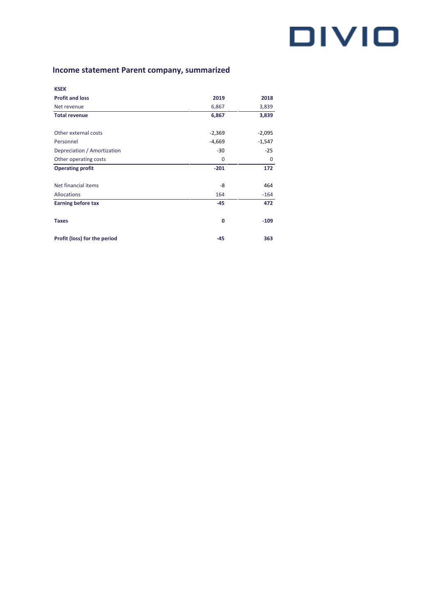### **Income statement Parent company, summarized**

| <b>KSEK</b>                  |          |             |
|------------------------------|----------|-------------|
| <b>Profit and loss</b>       | 2019     | 2018        |
| Net revenue                  | 6,867    | 3,839       |
| <b>Total revenue</b>         | 6,867    | 3,839       |
| Other external costs         | $-2,369$ | $-2,095$    |
| Personnel                    | $-4,669$ | $-1,547$    |
| Depreciation / Amortization  | $-30$    | $-25$       |
| Other operating costs        | 0        | $\mathbf 0$ |
| <b>Operating profit</b>      | $-201$   | 172         |
| Net financial items          | -8       | 464         |
| Allocations                  | 164      | $-164$      |
| <b>Earning before tax</b>    | $-45$    | 472         |
| <b>Taxes</b>                 | 0        | $-109$      |
| Profit (loss) for the period | $-45$    | 363         |